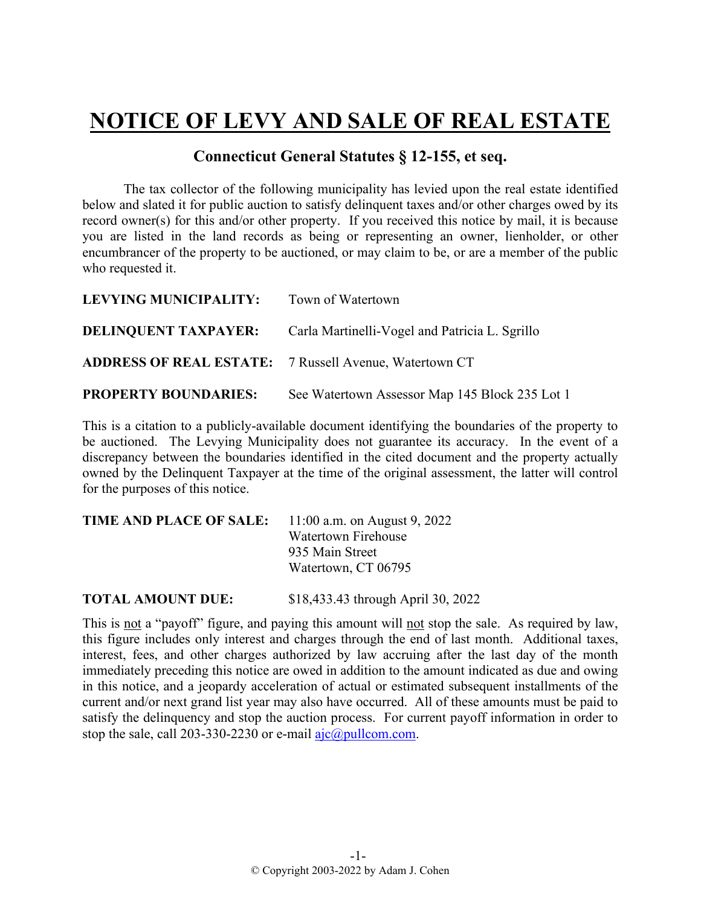## **NOTICE OF LEVY AND SALE OF REAL ESTATE**

## **Connecticut General Statutes § 12-155, et seq.**

The tax collector of the following municipality has levied upon the real estate identified below and slated it for public auction to satisfy delinquent taxes and/or other charges owed by its record owner(s) for this and/or other property. If you received this notice by mail, it is because you are listed in the land records as being or representing an owner, lienholder, or other encumbrancer of the property to be auctioned, or may claim to be, or are a member of the public who requested it.

| LEVYING MUNICIPALITY:                                         | Town of Watertown                                                          |
|---------------------------------------------------------------|----------------------------------------------------------------------------|
|                                                               | <b>DELINQUENT TAXPAYER:</b> Carla Martinelli-Vogel and Patricia L. Sgrillo |
| <b>ADDRESS OF REAL ESTATE:</b> 7 Russell Avenue, Watertown CT |                                                                            |
| <b>PROPERTY BOUNDARIES:</b>                                   | See Watertown Assessor Map 145 Block 235 Lot 1                             |

This is a citation to a publicly-available document identifying the boundaries of the property to be auctioned. The Levying Municipality does not guarantee its accuracy. In the event of a discrepancy between the boundaries identified in the cited document and the property actually owned by the Delinquent Taxpayer at the time of the original assessment, the latter will control for the purposes of this notice.

| <b>TIME AND PLACE OF SALE:</b> | 11:00 a.m. on August 9, 2022 |
|--------------------------------|------------------------------|
|                                | Watertown Firehouse          |
|                                | 935 Main Street              |
|                                | Watertown, CT 06795          |
|                                |                              |

**TOTAL AMOUNT DUE:** \$18,433.43 through April 30, 2022

This is not a "payoff" figure, and paying this amount will not stop the sale. As required by law, this figure includes only interest and charges through the end of last month. Additional taxes, interest, fees, and other charges authorized by law accruing after the last day of the month immediately preceding this notice are owed in addition to the amount indicated as due and owing in this notice, and a jeopardy acceleration of actual or estimated subsequent installments of the current and/or next grand list year may also have occurred. All of these amounts must be paid to satisfy the delinquency and stop the auction process. For current payoff information in order to stop the sale, call 203-330-2230 or e-mail  $a$ jc $@p$ ullcom.com.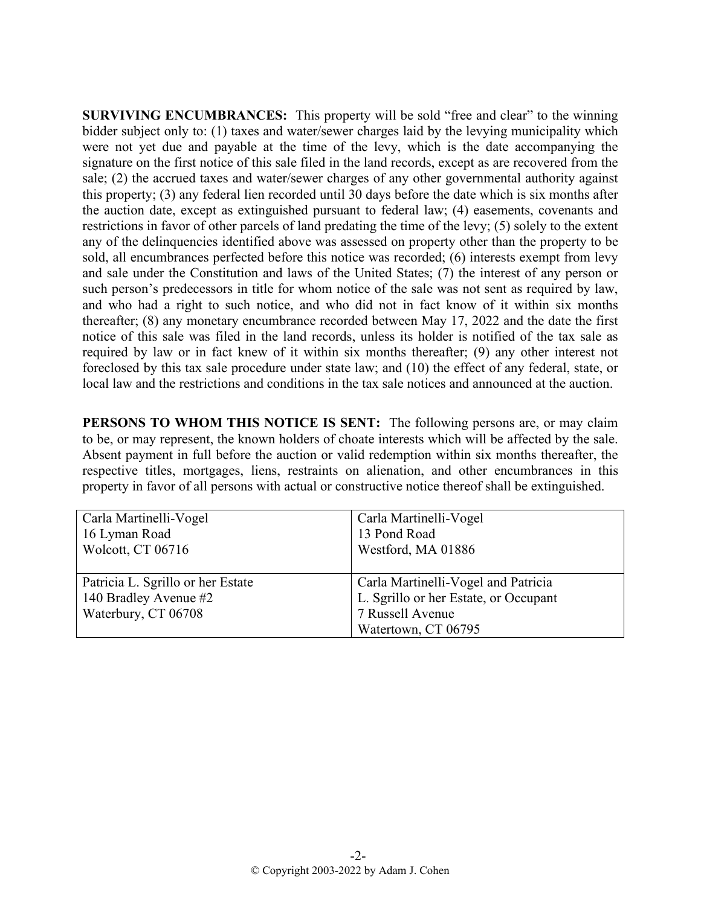**SURVIVING ENCUMBRANCES:** This property will be sold "free and clear" to the winning bidder subject only to: (1) taxes and water/sewer charges laid by the levying municipality which were not yet due and payable at the time of the levy, which is the date accompanying the signature on the first notice of this sale filed in the land records, except as are recovered from the sale; (2) the accrued taxes and water/sewer charges of any other governmental authority against this property; (3) any federal lien recorded until 30 days before the date which is six months after the auction date, except as extinguished pursuant to federal law; (4) easements, covenants and restrictions in favor of other parcels of land predating the time of the levy; (5) solely to the extent any of the delinquencies identified above was assessed on property other than the property to be sold, all encumbrances perfected before this notice was recorded; (6) interests exempt from levy and sale under the Constitution and laws of the United States; (7) the interest of any person or such person's predecessors in title for whom notice of the sale was not sent as required by law, and who had a right to such notice, and who did not in fact know of it within six months thereafter; (8) any monetary encumbrance recorded between May 17, 2022 and the date the first notice of this sale was filed in the land records, unless its holder is notified of the tax sale as required by law or in fact knew of it within six months thereafter; (9) any other interest not foreclosed by this tax sale procedure under state law; and (10) the effect of any federal, state, or local law and the restrictions and conditions in the tax sale notices and announced at the auction.

**PERSONS TO WHOM THIS NOTICE IS SENT:** The following persons are, or may claim to be, or may represent, the known holders of choate interests which will be affected by the sale. Absent payment in full before the auction or valid redemption within six months thereafter, the respective titles, mortgages, liens, restraints on alienation, and other encumbrances in this property in favor of all persons with actual or constructive notice thereof shall be extinguished.

| Carla Martinelli-Vogel            | Carla Martinelli-Vogel                |
|-----------------------------------|---------------------------------------|
| 16 Lyman Road                     | 13 Pond Road                          |
| Wolcott, CT 06716                 | Westford, MA 01886                    |
|                                   |                                       |
| Patricia L. Sgrillo or her Estate | Carla Martinelli-Vogel and Patricia   |
| 140 Bradley Avenue #2             | L. Sgrillo or her Estate, or Occupant |
| Waterbury, CT 06708               | 7 Russell Avenue                      |
|                                   | Watertown, CT 06795                   |